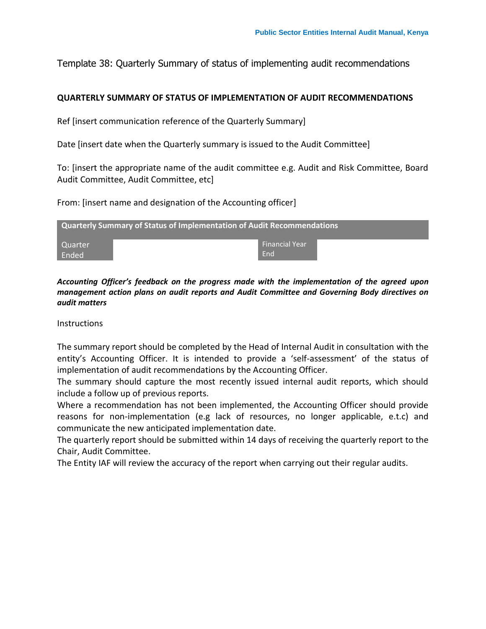Template 38: Quarterly Summary of status of implementing audit recommendations

## **QUARTERLY SUMMARY OF STATUS OF IMPLEMENTATION OF AUDIT RECOMMENDATIONS**

Ref [insert communication reference of the Quarterly Summary]

Date [insert date when the Quarterly summary is issued to the Audit Committee]

To: [insert the appropriate name of the audit committee e.g. Audit and Risk Committee, Board Audit Committee, Audit Committee, etc]

From: [insert name and designation of the Accounting officer]

| <b>Quarterly Summary of Status of Implementation of Audit Recommendations</b> |                    |  |  |  |  |  |  |  |
|-------------------------------------------------------------------------------|--------------------|--|--|--|--|--|--|--|
| <b>Quarter</b>                                                                | l Financial Year ' |  |  |  |  |  |  |  |
| Ended                                                                         | End                |  |  |  |  |  |  |  |

*Accounting Officer's feedback on the progress made with the implementation of the agreed upon management action plans on audit reports and Audit Committee and Governing Body directives on audit matters*

**Instructions** 

The summary report should be completed by the Head of Internal Audit in consultation with the entity's Accounting Officer. It is intended to provide a 'self-assessment' of the status of implementation of audit recommendations by the Accounting Officer.

The summary should capture the most recently issued internal audit reports, which should include a follow up of previous reports.

Where a recommendation has not been implemented, the Accounting Officer should provide reasons for non-implementation (e.g lack of resources, no longer applicable, e.t.c) and communicate the new anticipated implementation date.

The quarterly report should be submitted within 14 days of receiving the quarterly report to the Chair, Audit Committee.

The Entity IAF will review the accuracy of the report when carrying out their regular audits.